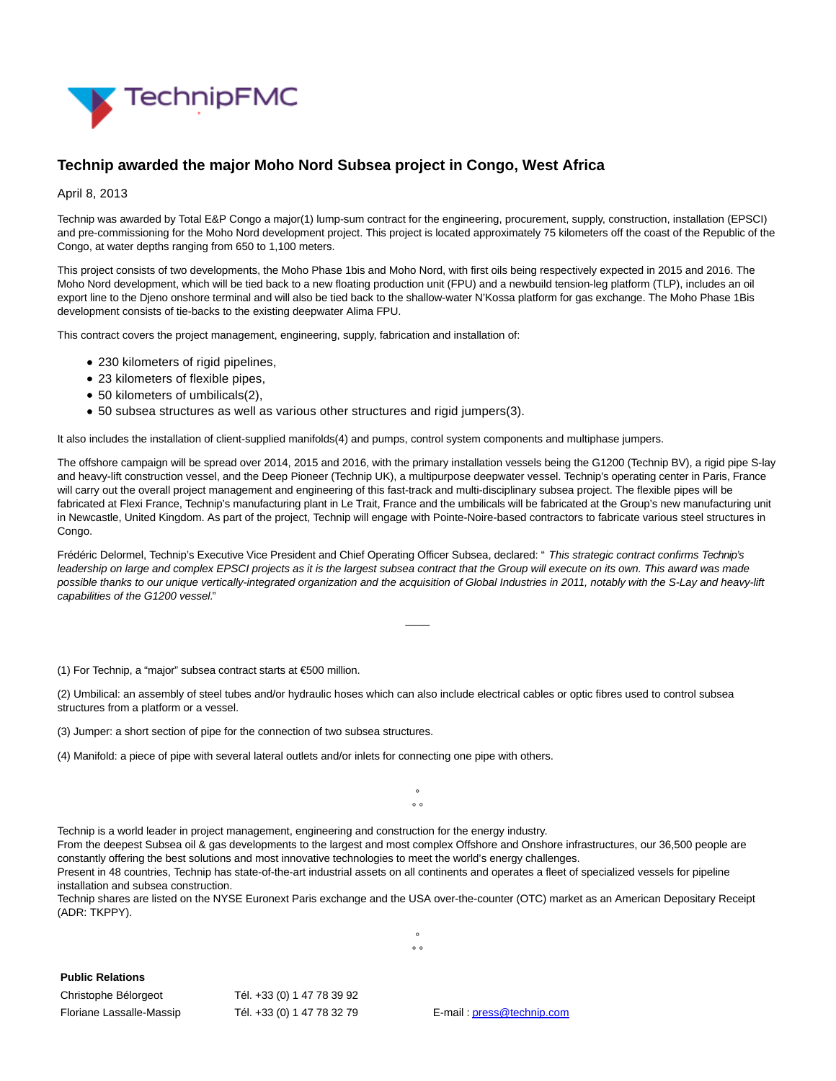

## **Technip awarded the major Moho Nord Subsea project in Congo, West Africa**

## April 8, 2013

Technip was awarded by Total E&P Congo a major(1) lump-sum contract for the engineering, procurement, supply, construction, installation (EPSCI) and pre-commissioning for the Moho Nord development project. This project is located approximately 75 kilometers off the coast of the Republic of the Congo, at water depths ranging from 650 to 1,100 meters.

This project consists of two developments, the Moho Phase 1bis and Moho Nord, with first oils being respectively expected in 2015 and 2016. The Moho Nord development, which will be tied back to a new floating production unit (FPU) and a newbuild tension-leg platform (TLP), includes an oil export line to the Djeno onshore terminal and will also be tied back to the shallow-water N'Kossa platform for gas exchange. The Moho Phase 1Bis development consists of tie-backs to the existing deepwater Alima FPU.

This contract covers the project management, engineering, supply, fabrication and installation of:

- 230 kilometers of rigid pipelines,
- 23 kilometers of flexible pipes,
- 50 kilometers of umbilicals(2),
- 50 subsea structures as well as various other structures and rigid jumpers(3).

It also includes the installation of client-supplied manifolds(4) and pumps, control system components and multiphase jumpers.

The offshore campaign will be spread over 2014, 2015 and 2016, with the primary installation vessels being the G1200 (Technip BV), a rigid pipe S-lay and heavy-lift construction vessel, and the Deep Pioneer (Technip UK), a multipurpose deepwater vessel. Technip's operating center in Paris, France will carry out the overall project management and engineering of this fast-track and multi-disciplinary subsea project. The flexible pipes will be fabricated at Flexi France, Technip's manufacturing plant in Le Trait, France and the umbilicals will be fabricated at the Group's new manufacturing unit in Newcastle, United Kingdom. As part of the project, Technip will engage with Pointe-Noire-based contractors to fabricate various steel structures in Congo.

Frédéric Delormel, Technip's Executive Vice President and Chief Operating Officer Subsea, declared: " This strategic contract confirms Technip's leadership on large and complex EPSCI projects as it is the largest subsea contract that the Group will execute on its own. This award was made possible thanks to our unique vertically-integrated organization and the acquisition of Global Industries in 2011, notably with the S-Lay and heavy-lift capabilities of the G1200 vessel."

 $\overline{\phantom{a}}$ 

(1) For Technip, a "major" subsea contract starts at €500 million.

(2) Umbilical: an assembly of steel tubes and/or hydraulic hoses which can also include electrical cables or optic fibres used to control subsea structures from a platform or a vessel.

(3) Jumper: a short section of pipe for the connection of two subsea structures.

(4) Manifold: a piece of pipe with several lateral outlets and/or inlets for connecting one pipe with others.

°  $\circ$ 

Technip is a world leader in project management, engineering and construction for the energy industry.

From the deepest Subsea oil & gas developments to the largest and most complex Offshore and Onshore infrastructures, our 36,500 people are constantly offering the best solutions and most innovative technologies to meet the world's energy challenges.

Present in 48 countries, Technip has state-of-the-art industrial assets on all continents and operates a fleet of specialized vessels for pipeline installation and subsea construction.

Technip shares are listed on the NYSE Euronext Paris exchange and the USA over-the-counter (OTC) market as an American Depositary Receipt (ADR: TKPPY).

> °  $\circ$

**Public Relations**

| Christophe Bélorgeot     | Tél. +33 (0) 1 47 78 39 92 |
|--------------------------|----------------------------|
| Floriane Lassalle-Massip | Tél. +33 (0) 1 47 78 32 79 |

E-mail[: press@technip.com](mailto:press@technip.com)